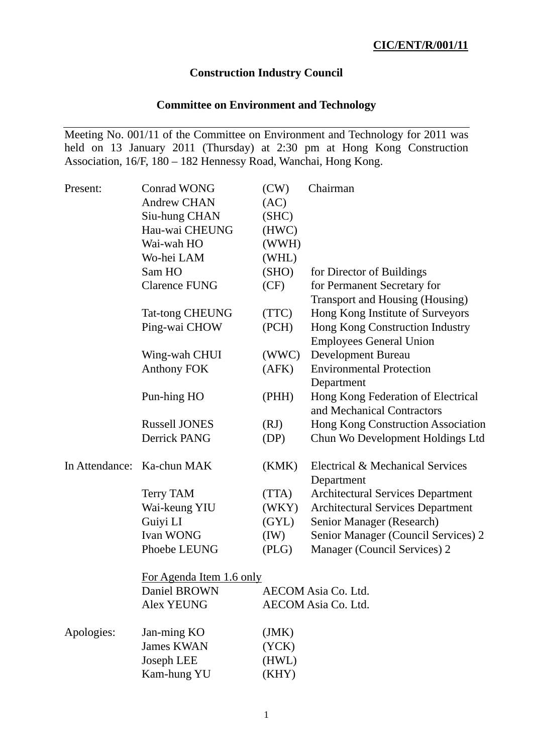## **Construction Industry Council**

# **Committee on Environment and Technology**

Meeting No. 001/11 of the Committee on Environment and Technology for 2011 was held on 13 January 2011 (Thursday) at 2:30 pm at Hong Kong Construction Association, 16/F, 180 – 182 Hennessy Road, Wanchai, Hong Kong.

| Present:   | <b>Conrad WONG</b>         | (CW)  | Chairman                                 |  |
|------------|----------------------------|-------|------------------------------------------|--|
|            | <b>Andrew CHAN</b>         | (AC)  |                                          |  |
|            | Siu-hung CHAN              | (SHC) |                                          |  |
|            | Hau-wai CHEUNG             | (HWC) |                                          |  |
|            | Wai-wah HO                 | (WWH) |                                          |  |
|            | Wo-hei LAM                 | (WHL) |                                          |  |
|            | Sam HO                     | (SHO) | for Director of Buildings                |  |
|            | <b>Clarence FUNG</b>       | (CF)  | for Permanent Secretary for              |  |
|            |                            |       | Transport and Housing (Housing)          |  |
|            | <b>Tat-tong CHEUNG</b>     | (TTC) | Hong Kong Institute of Surveyors         |  |
|            | Ping-wai CHOW              | (PCH) | Hong Kong Construction Industry          |  |
|            |                            |       | <b>Employees General Union</b>           |  |
|            | Wing-wah CHUI              | (WWC) | <b>Development Bureau</b>                |  |
|            | <b>Anthony FOK</b>         | (AFK) | <b>Environmental Protection</b>          |  |
|            |                            |       | Department                               |  |
|            | Pun-hing HO                | (PHH) | Hong Kong Federation of Electrical       |  |
|            |                            |       | and Mechanical Contractors               |  |
|            | <b>Russell JONES</b>       | (RJ)  | Hong Kong Construction Association       |  |
|            | Derrick PANG               | (DP)  | Chun Wo Development Holdings Ltd         |  |
|            | In Attendance: Ka-chun MAK | (KMK) | Electrical & Mechanical Services         |  |
|            |                            |       | Department                               |  |
|            | <b>Terry TAM</b>           | (TTA) | <b>Architectural Services Department</b> |  |
|            | Wai-keung YIU              | (WKY) | <b>Architectural Services Department</b> |  |
|            | Guiyi LI                   | (GYL) | Senior Manager (Research)                |  |
|            | Ivan WONG                  | (IW)  | Senior Manager (Council Services) 2      |  |
|            | Phoebe LEUNG               | (PLG) | Manager (Council Services) 2             |  |
|            | For Agenda Item 1.6 only   |       |                                          |  |
|            | Daniel BROWN               |       | AECOM Asia Co. Ltd.                      |  |
|            | <b>Alex YEUNG</b>          |       | AECOM Asia Co. Ltd.                      |  |
| Apologies: | Jan-ming KO                | (JMK) |                                          |  |
|            | <b>James KWAN</b>          | (YCK) |                                          |  |
|            | Joseph LEE                 | (HWL) |                                          |  |
|            | Kam-hung YU                | (KHY) |                                          |  |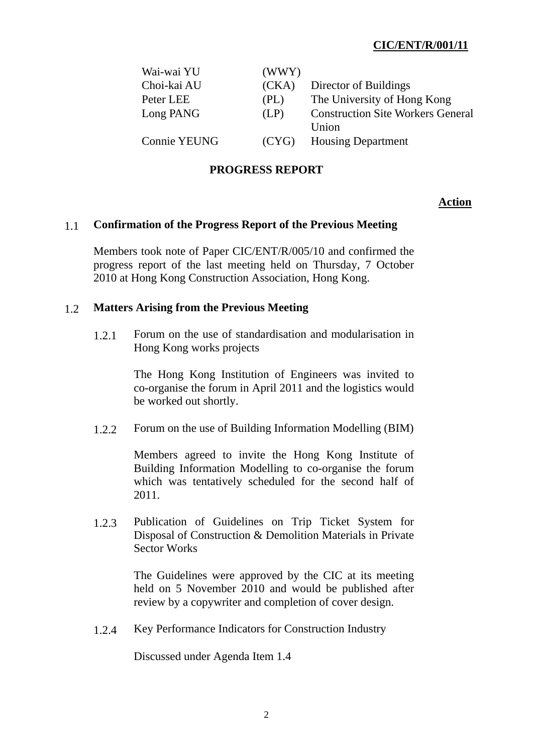| Wai-wai YU   | (WWY) |                                          |
|--------------|-------|------------------------------------------|
| Choi-kai AU  | (CKA) | Director of Buildings                    |
| Peter LEE    | (PL)  | The University of Hong Kong              |
| Long PANG    | (LP)  | <b>Construction Site Workers General</b> |
|              |       | Union                                    |
| Connie YEUNG | (CYG) | <b>Housing Department</b>                |

### **PROGRESS REPORT**

#### **Action**

#### 1.1 **Confirmation of the Progress Report of the Previous Meeting**

Members took note of Paper CIC/ENT/R/005/10 and confirmed the progress report of the last meeting held on Thursday, 7 October 2010 at Hong Kong Construction Association, Hong Kong.

#### 1.2 **Matters Arising from the Previous Meeting**

 1.2.1 Forum on the use of standardisation and modularisation in Hong Kong works projects

> The Hong Kong Institution of Engineers was invited to co-organise the forum in April 2011 and the logistics would be worked out shortly.

1.2.2 Forum on the use of Building Information Modelling (BIM)

Members agreed to invite the Hong Kong Institute of Building Information Modelling to co-organise the forum which was tentatively scheduled for the second half of 2011.

 1.2.3 Publication of Guidelines on Trip Ticket System for Disposal of Construction & Demolition Materials in Private Sector Works

> The Guidelines were approved by the CIC at its meeting held on 5 November 2010 and would be published after review by a copywriter and completion of cover design.

1.2.4 Key Performance Indicators for Construction Industry

Discussed under Agenda Item 1.4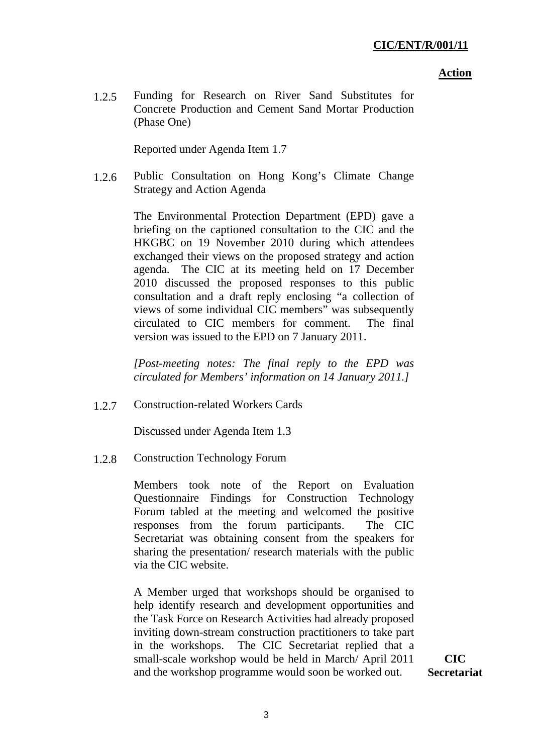#### **Action**

 1.2.5 Funding for Research on River Sand Substitutes for Concrete Production and Cement Sand Mortar Production (Phase One)

Reported under Agenda Item 1.7

 1.2.6 Public Consultation on Hong Kong's Climate Change Strategy and Action Agenda

> The Environmental Protection Department (EPD) gave a briefing on the captioned consultation to the CIC and the HKGBC on 19 November 2010 during which attendees exchanged their views on the proposed strategy and action agenda. The CIC at its meeting held on 17 December 2010 discussed the proposed responses to this public consultation and a draft reply enclosing "a collection of views of some individual CIC members" was subsequently circulated to CIC members for comment. The final version was issued to the EPD on 7 January 2011.

> *[Post-meeting notes: The final reply to the EPD was circulated for Members' information on 14 January 2011.]*

1.2.7 Construction-related Workers Cards

Discussed under Agenda Item 1.3

1.2.8 Construction Technology Forum

Members took note of the Report on Evaluation Questionnaire Findings for Construction Technology Forum tabled at the meeting and welcomed the positive responses from the forum participants. The CIC Secretariat was obtaining consent from the speakers for sharing the presentation/ research materials with the public via the CIC website.

A Member urged that workshops should be organised to help identify research and development opportunities and the Task Force on Research Activities had already proposed inviting down-stream construction practitioners to take part in the workshops. The CIC Secretariat replied that a small-scale workshop would be held in March/ April 2011 and the workshop programme would soon be worked out.

**CIC Secretariat**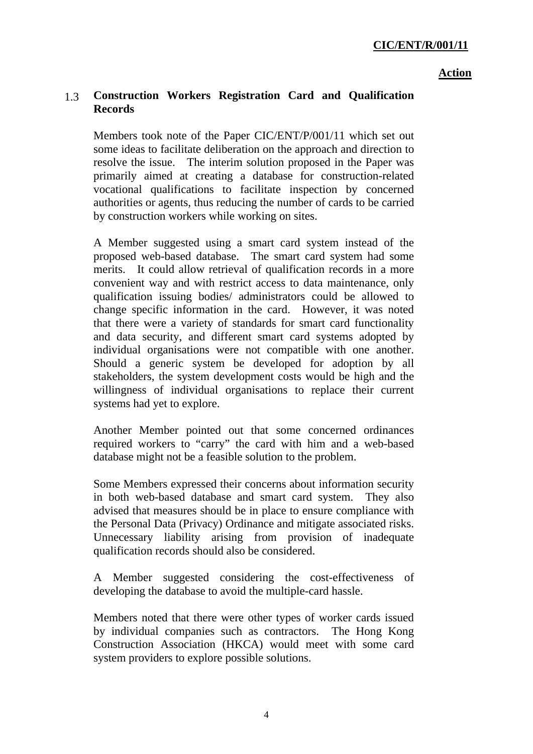### **Action**

# 1.3 **Construction Workers Registration Card and Qualification Records**

Members took note of the Paper CIC/ENT/P/001/11 which set out some ideas to facilitate deliberation on the approach and direction to resolve the issue. The interim solution proposed in the Paper was primarily aimed at creating a database for construction-related vocational qualifications to facilitate inspection by concerned authorities or agents, thus reducing the number of cards to be carried by construction workers while working on sites.

A Member suggested using a smart card system instead of the proposed web-based database. The smart card system had some merits. It could allow retrieval of qualification records in a more convenient way and with restrict access to data maintenance, only qualification issuing bodies/ administrators could be allowed to change specific information in the card. However, it was noted that there were a variety of standards for smart card functionality and data security, and different smart card systems adopted by individual organisations were not compatible with one another. Should a generic system be developed for adoption by all stakeholders, the system development costs would be high and the willingness of individual organisations to replace their current systems had yet to explore.

Another Member pointed out that some concerned ordinances required workers to "carry" the card with him and a web-based database might not be a feasible solution to the problem.

Some Members expressed their concerns about information security in both web-based database and smart card system. They also advised that measures should be in place to ensure compliance with the Personal Data (Privacy) Ordinance and mitigate associated risks. Unnecessary liability arising from provision of inadequate qualification records should also be considered.

A Member suggested considering the cost-effectiveness of developing the database to avoid the multiple-card hassle.

Members noted that there were other types of worker cards issued by individual companies such as contractors. The Hong Kong Construction Association (HKCA) would meet with some card system providers to explore possible solutions.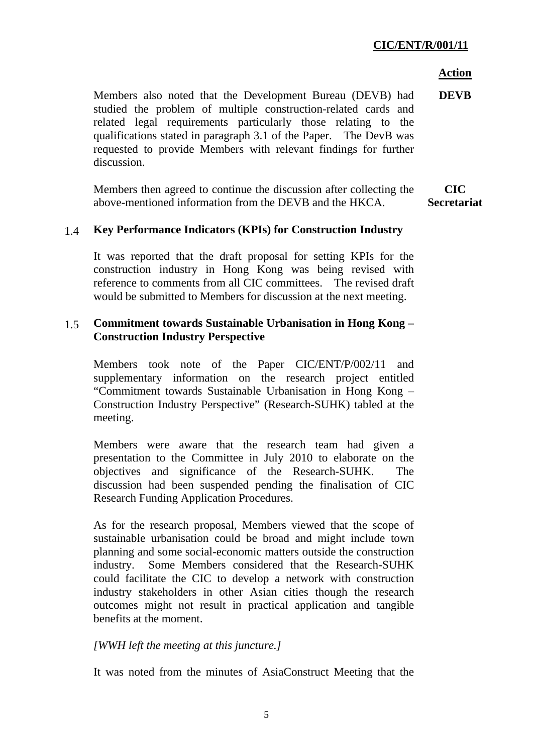#### **Action**

Members also noted that the Development Bureau (DEVB) had studied the problem of multiple construction-related cards and related legal requirements particularly those relating to the qualifications stated in paragraph 3.1 of the Paper. The DevB was requested to provide Members with relevant findings for further discussion. **DEVB** 

Members then agreed to continue the discussion after collecting the above-mentioned information from the DEVB and the HKCA. **CIC Secretariat** 

### 1.4 **Key Performance Indicators (KPIs) for Construction Industry**

It was reported that the draft proposal for setting KPIs for the construction industry in Hong Kong was being revised with reference to comments from all CIC committees. The revised draft would be submitted to Members for discussion at the next meeting.

## 1.5 **Commitment towards Sustainable Urbanisation in Hong Kong – Construction Industry Perspective**

Members took note of the Paper CIC/ENT/P/002/11 and supplementary information on the research project entitled "Commitment towards Sustainable Urbanisation in Hong Kong – Construction Industry Perspective" (Research-SUHK) tabled at the meeting.

Members were aware that the research team had given a presentation to the Committee in July 2010 to elaborate on the objectives and significance of the Research-SUHK. The discussion had been suspended pending the finalisation of CIC Research Funding Application Procedures.

As for the research proposal, Members viewed that the scope of sustainable urbanisation could be broad and might include town planning and some social-economic matters outside the construction industry. Some Members considered that the Research-SUHK could facilitate the CIC to develop a network with construction industry stakeholders in other Asian cities though the research outcomes might not result in practical application and tangible benefits at the moment.

### *[WWH left the meeting at this juncture.]*

It was noted from the minutes of AsiaConstruct Meeting that the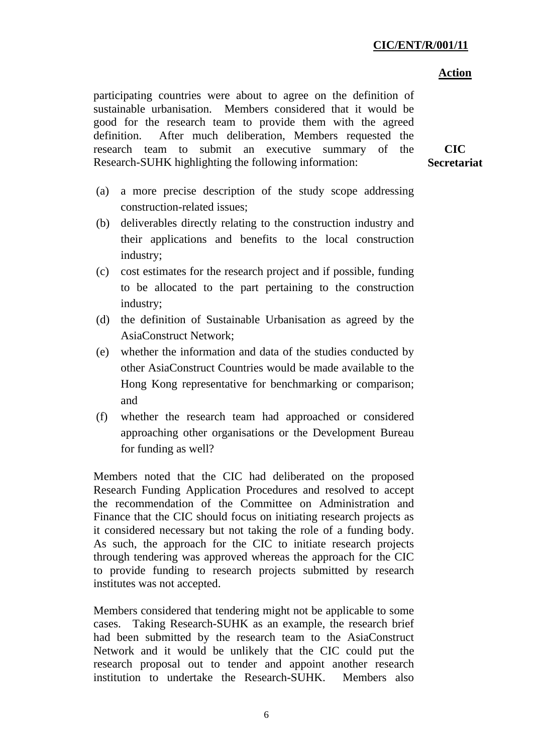#### **Action**

participating countries were about to agree on the definition of sustainable urbanisation. Members considered that it would be good for the research team to provide them with the agreed definition. After much deliberation, Members requested the research team to submit an executive summary of the Research-SUHK highlighting the following information:

**CIC Secretariat** 

- (a) a more precise description of the study scope addressing construction-related issues;
- (b) deliverables directly relating to the construction industry and their applications and benefits to the local construction industry;
- (c) cost estimates for the research project and if possible, funding to be allocated to the part pertaining to the construction industry;
- (d) the definition of Sustainable Urbanisation as agreed by the AsiaConstruct Network;
- (e) whether the information and data of the studies conducted by other AsiaConstruct Countries would be made available to the Hong Kong representative for benchmarking or comparison; and
- (f) whether the research team had approached or considered approaching other organisations or the Development Bureau for funding as well?

Members noted that the CIC had deliberated on the proposed Research Funding Application Procedures and resolved to accept the recommendation of the Committee on Administration and Finance that the CIC should focus on initiating research projects as it considered necessary but not taking the role of a funding body. As such, the approach for the CIC to initiate research projects through tendering was approved whereas the approach for the CIC to provide funding to research projects submitted by research institutes was not accepted.

Members considered that tendering might not be applicable to some cases. Taking Research-SUHK as an example, the research brief had been submitted by the research team to the AsiaConstruct Network and it would be unlikely that the CIC could put the research proposal out to tender and appoint another research institution to undertake the Research-SUHK. Members also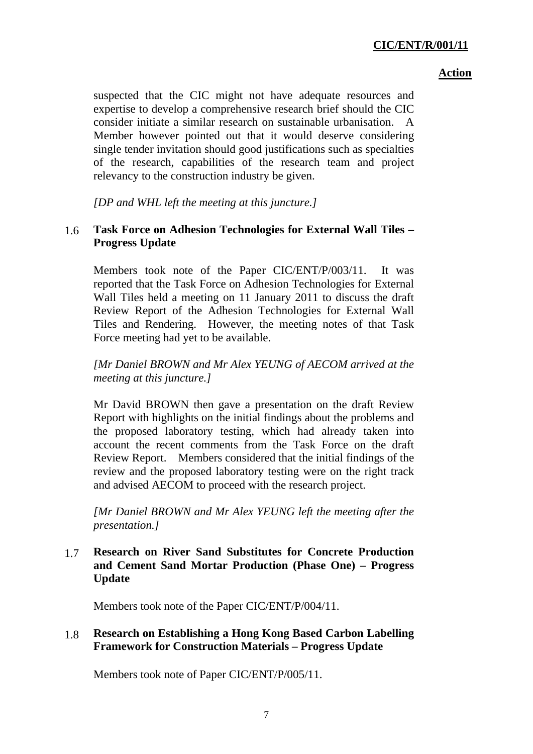### **Action**

suspected that the CIC might not have adequate resources and expertise to develop a comprehensive research brief should the CIC consider initiate a similar research on sustainable urbanisation. A Member however pointed out that it would deserve considering single tender invitation should good justifications such as specialties of the research, capabilities of the research team and project relevancy to the construction industry be given.

*[DP and WHL left the meeting at this juncture.]* 

# 1.6 **Task Force on Adhesion Technologies for External Wall Tiles – Progress Update**

Members took note of the Paper CIC/ENT/P/003/11. It was reported that the Task Force on Adhesion Technologies for External Wall Tiles held a meeting on 11 January 2011 to discuss the draft Review Report of the Adhesion Technologies for External Wall Tiles and Rendering. However, the meeting notes of that Task Force meeting had yet to be available.

*[Mr Daniel BROWN and Mr Alex YEUNG of AECOM arrived at the meeting at this juncture.]* 

Mr David BROWN then gave a presentation on the draft Review Report with highlights on the initial findings about the problems and the proposed laboratory testing, which had already taken into account the recent comments from the Task Force on the draft Review Report. Members considered that the initial findings of the review and the proposed laboratory testing were on the right track and advised AECOM to proceed with the research project.

*[Mr Daniel BROWN and Mr Alex YEUNG left the meeting after the presentation.]* 

1.7 **Research on River Sand Substitutes for Concrete Production and Cement Sand Mortar Production (Phase One) – Progress Update** 

Members took note of the Paper CIC/ENT/P/004/11.

## 1.8 **Research on Establishing a Hong Kong Based Carbon Labelling Framework for Construction Materials – Progress Update**

Members took note of Paper CIC/ENT/P/005/11.